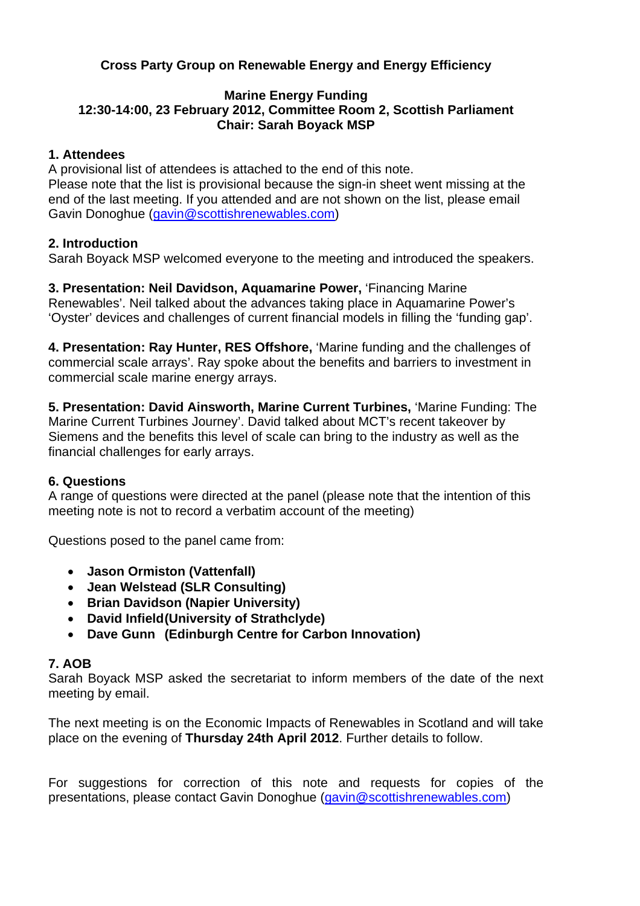# **Cross Party Group on Renewable Energy and Energy Efficiency**

#### **Marine Energy Funding 12:30-14:00, 23 February 2012, Committee Room 2, Scottish Parliament Chair: Sarah Boyack MSP**

#### **1. Attendees**

A provisional list of attendees is attached to the end of this note. Please note that the list is provisional because the sign-in sheet went missing at the end of the last meeting. If you attended and are not shown on the list, please email Gavin Donoghue (gavin@scottishrenewables.com)

## **2. Introduction**

Sarah Boyack MSP welcomed everyone to the meeting and introduced the speakers.

**3. Presentation: Neil Davidson, Aquamarine Power,** 'Financing Marine Renewables'. Neil talked about the advances taking place in Aquamarine Power's 'Oyster' devices and challenges of current financial models in filling the 'funding gap'.

**4. Presentation: Ray Hunter, RES Offshore,** 'Marine funding and the challenges of commercial scale arrays'. Ray spoke about the benefits and barriers to investment in commercial scale marine energy arrays.

**5. Presentation: David Ainsworth, Marine Current Turbines,** 'Marine Funding: The Marine Current Turbines Journey'. David talked about MCT's recent takeover by Siemens and the benefits this level of scale can bring to the industry as well as the financial challenges for early arrays.

## **6. Questions**

A range of questions were directed at the panel (please note that the intention of this meeting note is not to record a verbatim account of the meeting)

Questions posed to the panel came from:

- **Jason Ormiston (Vattenfall)**
- **Jean Welstead (SLR Consulting)**
- **Brian Davidson (Napier University)**
- **David Infield (University of Strathclyde)**
- **Dave Gunn (Edinburgh Centre for Carbon Innovation)**

#### **7. AOB**

Sarah Boyack MSP asked the secretariat to inform members of the date of the next meeting by email.

The next meeting is on the Economic Impacts of Renewables in Scotland and will take place on the evening of **Thursday 24th April 2012**. Further details to follow.

For suggestions for correction of this note and requests for copies of the presentations, please contact Gavin Donoghue (gavin@scottishrenewables.com)